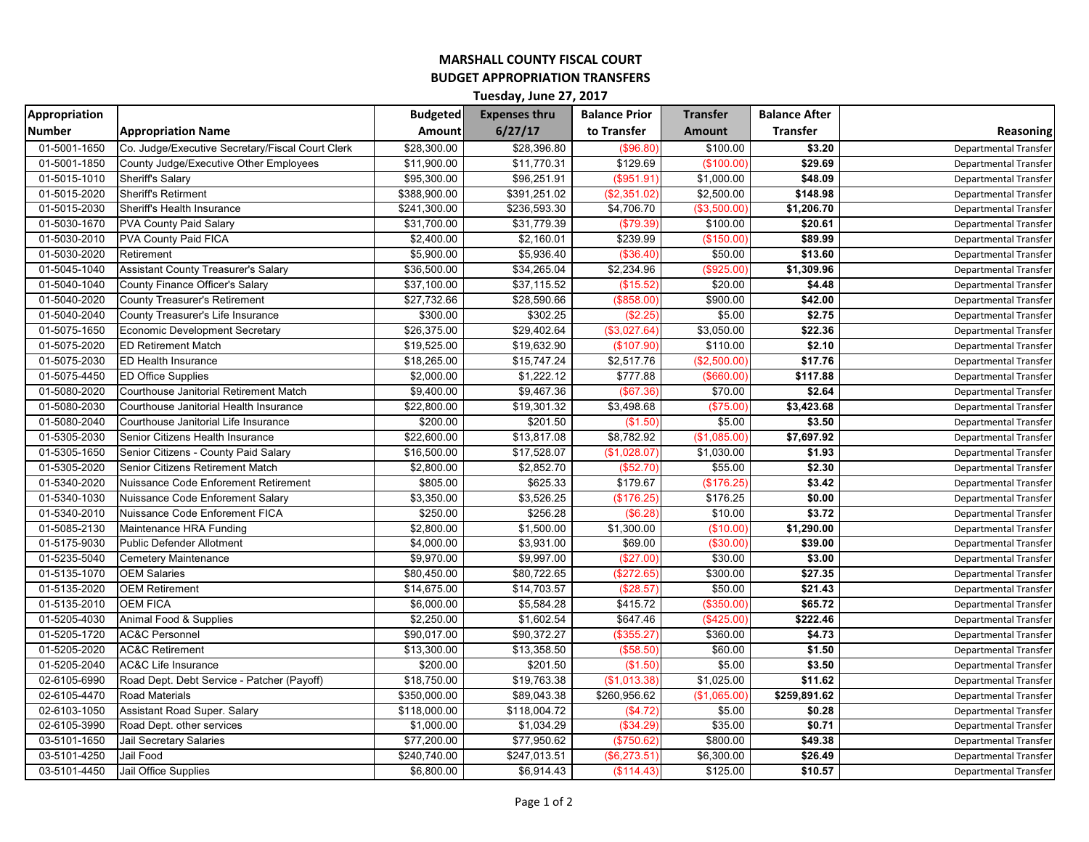## **MARSHALL COUNTY FISCAL COURT BUDGET APPROPRIATION TRANSFERS**

| Tuesday, June 27, 2017 |                                                  |                 |                      |                      |                 |                      |                              |  |  |  |
|------------------------|--------------------------------------------------|-----------------|----------------------|----------------------|-----------------|----------------------|------------------------------|--|--|--|
| Appropriation          |                                                  | <b>Budgeted</b> | <b>Expenses thru</b> | <b>Balance Prior</b> | <b>Transfer</b> | <b>Balance After</b> |                              |  |  |  |
| <b>Number</b>          | <b>Appropriation Name</b>                        | Amount          | 6/27/17              | to Transfer          | <b>Amount</b>   | <b>Transfer</b>      | Reasoning                    |  |  |  |
| 01-5001-1650           | Co. Judge/Executive Secretary/Fiscal Court Clerk | \$28,300.00     | \$28,396.80          | (\$96.80"            | \$100.00        | \$3.20               | Departmental Transfer        |  |  |  |
| 01-5001-1850           | County Judge/Executive Other Employees           | \$11,900.00     | \$11,770.31          | \$129.69             | (\$100.00)      | \$29.69              | <b>Departmental Transfer</b> |  |  |  |
| 01-5015-1010           | Sheriff's Salary                                 | \$95,300.00     | \$96,251.91          | (\$951.91            | \$1,000.00      | \$48.09              | <b>Departmental Transfer</b> |  |  |  |
| 01-5015-2020           | <b>Sheriff's Retirment</b>                       | \$388,900.00    | \$391,251.02         | (\$2,351.02          | \$2,500.00      | \$148.98             | <b>Departmental Transfer</b> |  |  |  |
| 01-5015-2030           | Sheriff's Health Insurance                       | \$241,300.00    | \$236,593.30         | \$4,706.70           | (\$3,500.00)    | \$1,206.70           | <b>Departmental Transfer</b> |  |  |  |
| 01-5030-1670           | <b>PVA County Paid Salary</b>                    | \$31,700.00     | \$31,779.39          | (\$79.39             | \$100.00        | \$20.61              | <b>Departmental Transfer</b> |  |  |  |
| 01-5030-2010           | PVA County Paid FICA                             | \$2,400.00      | \$2,160.01           | \$239.99             | (\$150.00       | \$89.99              | <b>Departmental Transfer</b> |  |  |  |
| 01-5030-2020           | Retirement                                       | \$5,900.00      | \$5,936.40           | (\$36.40"            | \$50.00         | \$13.60              | <b>Departmental Transfer</b> |  |  |  |
| 01-5045-1040           | <b>Assistant County Treasurer's Salary</b>       | \$36,500.00     | \$34,265.04          | \$2,234.96           | (\$925.00"      | \$1,309.96           | <b>Departmental Transfer</b> |  |  |  |
| 01-5040-1040           | County Finance Officer's Salary                  | \$37,100.00     | \$37,115.52          | (\$15.52             | \$20.00         | \$4.48               | <b>Departmental Transfer</b> |  |  |  |
| 01-5040-2020           | <b>County Treasurer's Retirement</b>             | \$27,732.66     | \$28,590.66          | (\$858.00)           | \$900.00        | \$42.00              | <b>Departmental Transfer</b> |  |  |  |
| 01-5040-2040           | County Treasurer's Life Insurance                | \$300.00        | \$302.25             | (\$2.25              | \$5.00          | \$2.75               | <b>Departmental Transfer</b> |  |  |  |
| 01-5075-1650           | <b>Economic Development Secretary</b>            | \$26,375.00     | \$29,402.64          | \$3,027.64           | \$3,050.00      | \$22.36              | <b>Departmental Transfer</b> |  |  |  |
| 01-5075-2020           | <b>ED Retirement Match</b>                       | \$19,525.00     | \$19,632.90          | (\$107.90            | \$110.00        | \$2.10               | <b>Departmental Transfer</b> |  |  |  |
| 01-5075-2030           | <b>ED Health Insurance</b>                       | \$18,265.00     | \$15,747.24          | \$2,517.76           | (\$2,500.00)    | \$17.76              | <b>Departmental Transfer</b> |  |  |  |
| 01-5075-4450           | <b>ED Office Supplies</b>                        | \$2,000.00      | \$1,222.12           | \$777.88             | (\$660.00)      | \$117.88             | <b>Departmental Transfer</b> |  |  |  |
| 01-5080-2020           | Courthouse Janitorial Retirement Match           | \$9,400.00      | \$9,467.36           | (\$67.36             | \$70.00         | \$2.64               | <b>Departmental Transfer</b> |  |  |  |
| 01-5080-2030           | Courthouse Janitorial Health Insurance           | \$22,800.00     | \$19,301.32          | \$3,498.68           | (\$75.00)       | \$3,423.68           | Departmental Transfer        |  |  |  |
| 01-5080-2040           | Courthouse Janitorial Life Insurance             | \$200.00        | \$201.50             | (\$1.50              | \$5.00          | \$3.50               | <b>Departmental Transfer</b> |  |  |  |
| 01-5305-2030           | Senior Citizens Health Insurance                 | \$22,600.00     | \$13,817.08          | \$8,782.92           | (\$1,085.00)    | \$7,697.92           | <b>Departmental Transfer</b> |  |  |  |
| 01-5305-1650           | Senior Citizens - County Paid Salary             | \$16,500.00     | \$17,528.07          | \$1,028.07           | \$1,030.00      | \$1.93               | <b>Departmental Transfer</b> |  |  |  |
| 01-5305-2020           | Senior Citizens Retirement Match                 | \$2,800.00      | \$2,852.70           | (\$52.70)            | \$55.00         | \$2.30               | <b>Departmental Transfer</b> |  |  |  |
| 01-5340-2020           | Nuissance Code Enforement Retirement             | \$805.00        | \$625.33             | \$179.67             | (\$176.25)      | \$3.42               | <b>Departmental Transfer</b> |  |  |  |
| 01-5340-1030           | Nuissance Code Enforement Salary                 | \$3,350.00      | \$3,526.25           | (\$176.25            | \$176.25        | \$0.00               | <b>Departmental Transfer</b> |  |  |  |
| 01-5340-2010           | Nuissance Code Enforement FICA                   | \$250.00        | \$256.28             | (\$6.28              | \$10.00         | \$3.72               | <b>Departmental Transfer</b> |  |  |  |
| 01-5085-2130           | Maintenance HRA Funding                          | \$2,800.00      | \$1,500.00           | \$1,300.00           | (\$10.00)       | \$1,290.00           | <b>Departmental Transfer</b> |  |  |  |
| 01-5175-9030           | Public Defender Allotment                        | \$4,000.00      | \$3,931.00           | \$69.00              | (\$30.00)       | \$39.00              | <b>Departmental Transfer</b> |  |  |  |
| 01-5235-5040           | <b>Cemetery Maintenance</b>                      | \$9,970.00      | \$9,997.00           | (\$27.00)            | \$30.00         | \$3.00               | <b>Departmental Transfer</b> |  |  |  |
| 01-5135-1070           | <b>OEM Salaries</b>                              | \$80,450.00     | \$80,722.65          | (\$272.65            | \$300.00        | \$27.35              | <b>Departmental Transfer</b> |  |  |  |
| 01-5135-2020           | <b>OEM Retirement</b>                            | \$14,675.00     | \$14,703.57          | (\$28.57             | \$50.00         | \$21.43              | <b>Departmental Transfer</b> |  |  |  |
| 01-5135-2010           | <b>OEM FICA</b>                                  | \$6,000.00      | \$5,584.28           | \$415.72             | (\$350.00)      | \$65.72              | <b>Departmental Transfer</b> |  |  |  |
| 01-5205-4030           | Animal Food & Supplies                           | \$2,250.00      | \$1,602.54           | \$647.46             | (\$425.00)      | \$222.46             | <b>Departmental Transfer</b> |  |  |  |
| 01-5205-1720           | <b>AC&amp;C Personnel</b>                        | \$90,017.00     | \$90,372.27          | (\$355.27            | \$360.00        | \$4.73               | <b>Departmental Transfer</b> |  |  |  |
| 01-5205-2020           | <b>AC&amp;C Retirement</b>                       | \$13,300.00     | \$13,358.50          | (\$58.50             | \$60.00         | \$1.50               | <b>Departmental Transfer</b> |  |  |  |
| 01-5205-2040           | <b>AC&amp;C Life Insurance</b>                   | \$200.00        | \$201.50             | (\$1.50)             | \$5.00          | \$3.50               | <b>Departmental Transfer</b> |  |  |  |
| 02-6105-6990           | Road Dept. Debt Service - Patcher (Payoff)       | \$18,750.00     | \$19,763.38          | (\$1,013.38)         | \$1,025.00      | \$11.62              | <b>Departmental Transfer</b> |  |  |  |
| 02-6105-4470           | <b>Road Materials</b>                            | \$350,000.00    | \$89,043.38          | \$260,956.62         | (\$1,065.00     | \$259,891.62         | <b>Departmental Transfer</b> |  |  |  |
| 02-6103-1050           | Assistant Road Super. Salary                     | \$118,000.00    | \$118,004.72         | (\$4.72)             | \$5.00          | \$0.28               | <b>Departmental Transfer</b> |  |  |  |
| 02-6105-3990           | Road Dept. other services                        | \$1,000.00      | \$1,034.29           | (\$34.29)            | \$35.00         | \$0.71               | <b>Departmental Transfer</b> |  |  |  |
| 03-5101-1650           | Jail Secretary Salaries                          | \$77,200.00     | \$77,950.62          | (\$750.62            | \$800.00        | \$49.38              | <b>Departmental Transfer</b> |  |  |  |
| 03-5101-4250           | Jail Food                                        | \$240,740.00    | \$247,013.51         | (\$6,273.51          | \$6,300.00      | \$26.49              | <b>Departmental Transfer</b> |  |  |  |
| 03-5101-4450           | Jail Office Supplies                             | \$6,800.00      | \$6,914.43           | (\$114.43)           | \$125.00        | \$10.57              | <b>Departmental Transfer</b> |  |  |  |